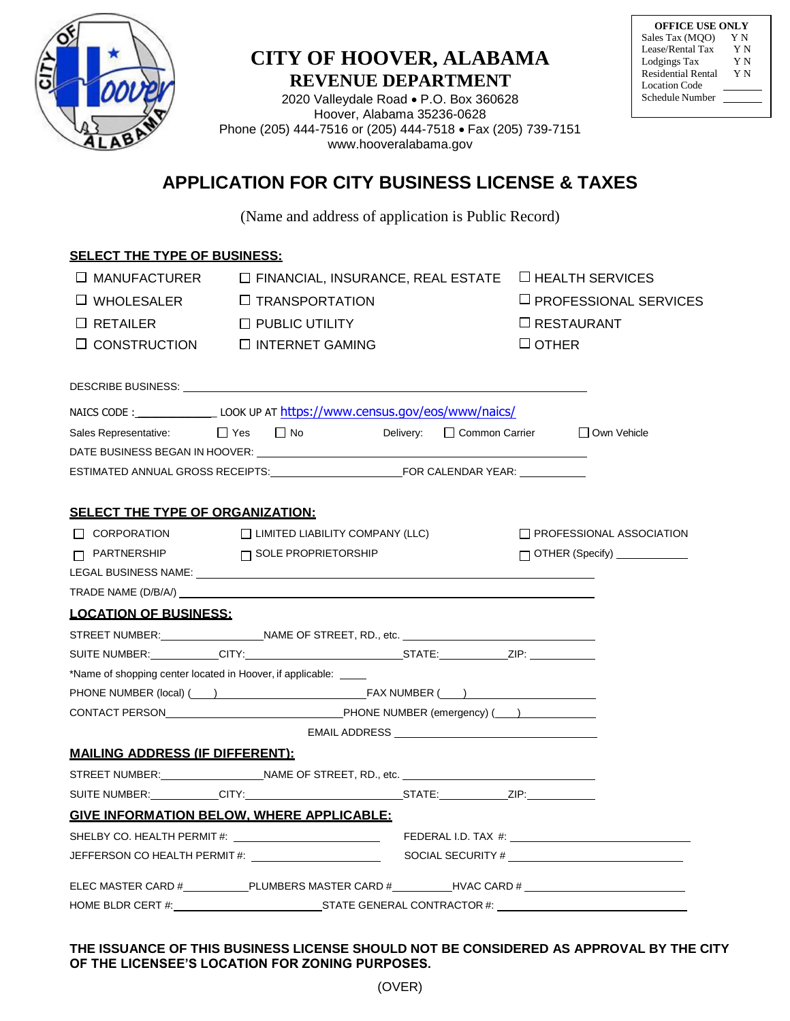

# **CITY OF HOOVER, ALABAMA REVENUE DEPARTMENT**

| <b>OFFICE USE ONLY</b>    |    |
|---------------------------|----|
| Sales Tax (MQO)           | ΥN |
| Lease/Rental Tax          | ΥN |
| Lodgings Tax              | YΝ |
| <b>Residential Rental</b> | YΝ |
| Location Code             |    |
| Schedule Number           |    |
|                           |    |

2020 Valleydale Road P.O. Box 360628 Hoover, Alabama 35236-0628 Phone (205) 444-7516 or (205) 444-7518 Fax (205) 739-7151 [www.hooveralabama.gov](http://www.hooveralabama.gov/)

# **APPLICATION FOR CITY BUSINESS LICENSE & TAXES**

(Name and address of application is Public Record)

| <b>SELECT THE TYPE OF BUSINESS:</b>    |                                                                                  |                            |                              |                                     |
|----------------------------------------|----------------------------------------------------------------------------------|----------------------------|------------------------------|-------------------------------------|
| $\square$ MANUFACTURER                 | $\Box$ FINANCIAL, INSURANCE, REAL ESTATE                                         |                            |                              | $\Box$ HEALTH SERVICES              |
| $\Box$ WHOLESALER                      | <b>IT TRANSPORTATION</b>                                                         |                            | $\Box$ PROFESSIONAL SERVICES |                                     |
| $\Box$ RETAILER                        | $\Box$ PUBLIC UTILITY                                                            | $\Box$ RESTAURANT          |                              |                                     |
|                                        | $\Box$ CONSTRUCTION $\Box$ INTERNET GAMING                                       | $\sqcup$ OTHER             |                              |                                     |
|                                        |                                                                                  |                            |                              |                                     |
|                                        | NAICS CODE : LOOK UP AT https://www.census.gov/eos/www/naics/                    |                            |                              |                                     |
|                                        | Sales Representative: □ Yes □ No                                                 | Delivery: □ Common Carrier |                              | □ Own Vehicle                       |
|                                        |                                                                                  |                            |                              |                                     |
|                                        |                                                                                  |                            |                              |                                     |
|                                        |                                                                                  |                            |                              |                                     |
| SELECT THE TYPE OF ORGANIZATION:       |                                                                                  |                            |                              |                                     |
|                                        | $\Box$ CORPORATION $\Box$ LIMITED LIABILITY COMPANY (LLC)                        |                            |                              | $\Box$ PROFESSIONAL ASSOCIATION     |
|                                        | $\Box$ PARTNERSHIP $\Box$ SOLE PROPRIETORSHIP                                    |                            |                              | $\Box$ OTHER (Specify) ____________ |
|                                        |                                                                                  |                            |                              |                                     |
|                                        |                                                                                  |                            |                              |                                     |
| <b>LOCATION OF BUSINESS:</b>           |                                                                                  |                            |                              |                                     |
|                                        | STREET NUMBER: ___________________NAME OF STREET, RD., etc. ____________________ |                            |                              |                                     |
|                                        |                                                                                  |                            |                              |                                     |
|                                        | *Name of shopping center located in Hoover, if applicable: _____                 |                            |                              |                                     |
|                                        |                                                                                  |                            |                              |                                     |
|                                        |                                                                                  |                            |                              |                                     |
|                                        |                                                                                  |                            |                              |                                     |
| <b>MAILING ADDRESS (IF DIFFERENT):</b> |                                                                                  |                            |                              |                                     |
|                                        |                                                                                  |                            |                              |                                     |
|                                        |                                                                                  |                            |                              |                                     |
|                                        | <b>GIVE INFORMATION BELOW. WHERE APPLICABLE:</b>                                 |                            |                              |                                     |
|                                        |                                                                                  |                            |                              |                                     |
|                                        |                                                                                  |                            |                              |                                     |
|                                        |                                                                                  |                            |                              |                                     |
|                                        | HOME BLDR CERT #: STATE GENERAL CONTRACTOR #:                                    |                            |                              |                                     |

# **THE ISSUANCE OF THIS BUSINESS LICENSE SHOULD NOT BE CONSIDERED AS APPROVAL BY THE CITY OF THE LICENSEE'S LOCATION FOR ZONING PURPOSES.**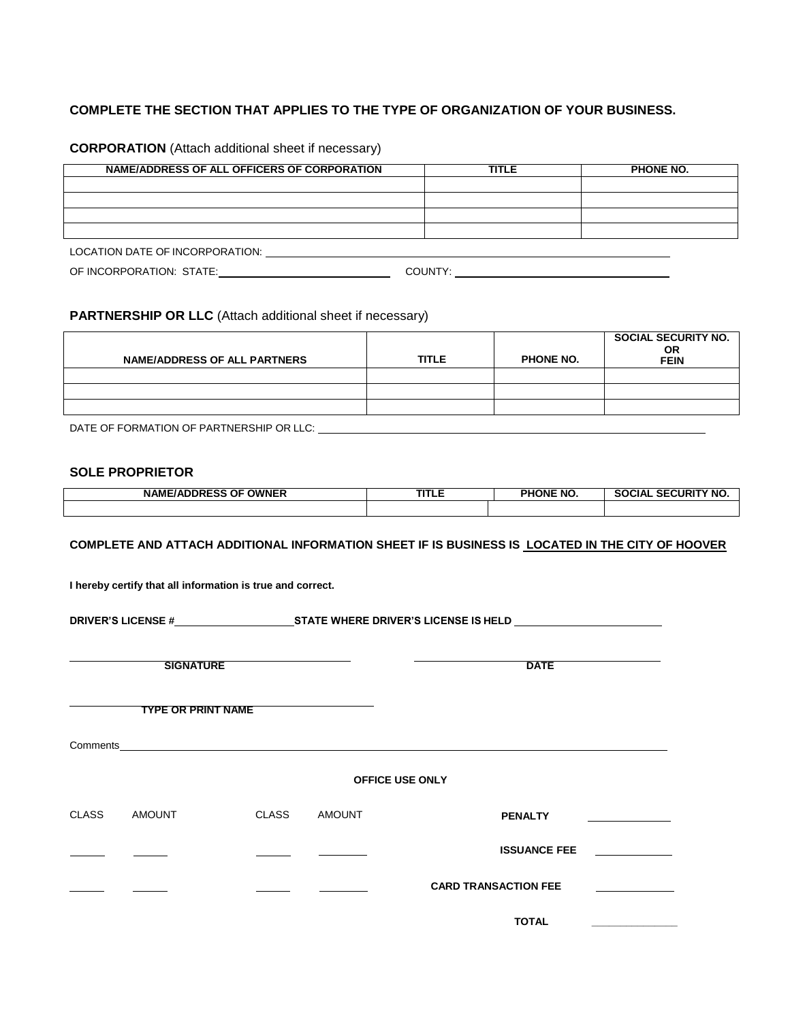# **COMPLETE THE SECTION THAT APPLIES TO THE TYPE OF ORGANIZATION OF YOUR BUSINESS.**

| NAME/ADDRESS OF ALL OFFICERS OF CORPORATION | <b>TITLE</b> | PHONE NO. |
|---------------------------------------------|--------------|-----------|
|                                             |              |           |
|                                             |              |           |
|                                             |              |           |
|                                             |              |           |
| LOCATION DATE OF INCORPORATION:             |              |           |
| OF INCORPORATION: STATE:                    | COUNTY:      |           |

**CORPORATION** (Attach additional sheet if necessary)

# **PARTNERSHIP OR LLC** (Attach additional sheet if necessary)

| <b>NAME/ADDRESS OF ALL PARTNERS</b> | <b>TITLE</b> | <b>PHONE NO.</b> | <b>SOCIAL SECURITY NO.</b><br><b>OR</b><br><b>FEIN</b> |
|-------------------------------------|--------------|------------------|--------------------------------------------------------|
|                                     |              |                  |                                                        |
|                                     |              |                  |                                                        |
|                                     |              |                  |                                                        |

DATE OF FORMATION OF PARTNERSHIP OR LLC:

## **SOLE PROPRIETOR**

| <b>NAME/ADDRESS OF</b><br><b>OWNER</b> | ----<br>. | <b>PHONE NO.</b> | <b>CURITY NO.</b><br>~-<br>SOCIAL<br>SF. |
|----------------------------------------|-----------|------------------|------------------------------------------|
|                                        |           |                  |                                          |

#### **COMPLETE AND ATTACH ADDITIONAL INFORMATION SHEET IF IS BUSINESS IS LOCATED IN THE CITY OF HOOVER**

**I hereby certify that all information is true and correct.**

**DRIVER'S LICENSE #** STATE WHERE DRIVER'S LICENSE IS HELD

**SIGNATURE** DATE

**TYPE OR PRINT NAME**

Comments\_

#### **OFFICE USE ONLY**

| CLASS | <b>AMOUNT</b> | <b>CLASS</b> | <b>AMOUNT</b> | <b>PENALTY</b>              |  |
|-------|---------------|--------------|---------------|-----------------------------|--|
|       |               |              |               | <b>ISSUANCE FEE</b>         |  |
|       |               |              |               | <b>CARD TRANSACTION FEE</b> |  |

 **TOTAL \_\_\_\_\_\_\_\_\_\_\_\_\_\_\_**